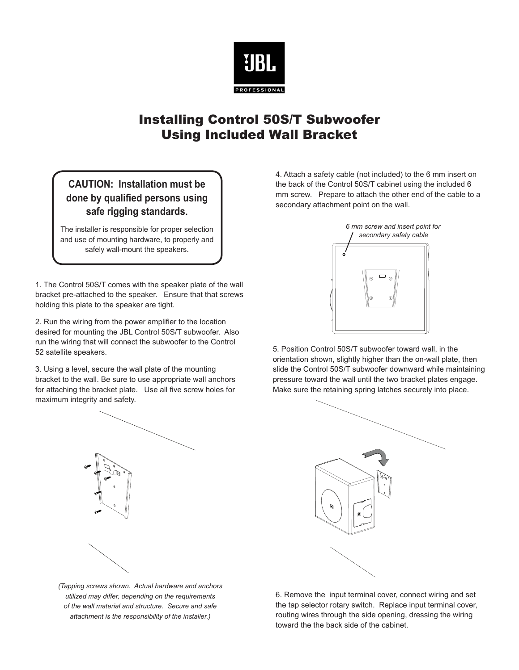

## Installing Control 50S/T Subwoofer Using Included Wall Bracket

## **CAUTION: Installation must be done by qualified persons using safe rigging standards.**

The installer is responsible for proper selection and use of mounting hardware, to properly and safely wall-mount the speakers.

1. The Control 50S/T comes with the speaker plate of the wall bracket pre-attached to the speaker. Ensure that that screws holding this plate to the speaker are tight.

2. Run the wiring from the power amplifier to the location desired for mounting the JBL Control 50S/T subwoofer. Also run the wiring that will connect the subwoofer to the Control 52 satellite speakers.

3. Using a level, secure the wall plate of the mounting bracket to the wall. Be sure to use appropriate wall anchors for attaching the bracket plate. Use all five screw holes for maximum integrity and safety.



*(Tapping screws shown. Actual hardware and anchors utilized may differ, depending on the requirements of the wall material and structure. Secure and safe attachment is the responsibility of the installer.)*

4. Attach a safety cable (not included) to the 6 mm insert on the back of the Control 50S/T cabinet using the included 6 mm screw. Prepare to attach the other end of the cable to a secondary attachment point on the wall.



5. Position Control 50S/T subwoofer toward wall, in the orientation shown, slightly higher than the on-wall plate, then slide the Control 50S/T subwoofer downward while maintaining pressure toward the wall until the two bracket plates engage. Make sure the retaining spring latches securely into place.



6. Remove the input terminal cover, connect wiring and set the tap selector rotary switch. Replace input terminal cover, routing wires through the side opening, dressing the wiring toward the the back side of the cabinet.